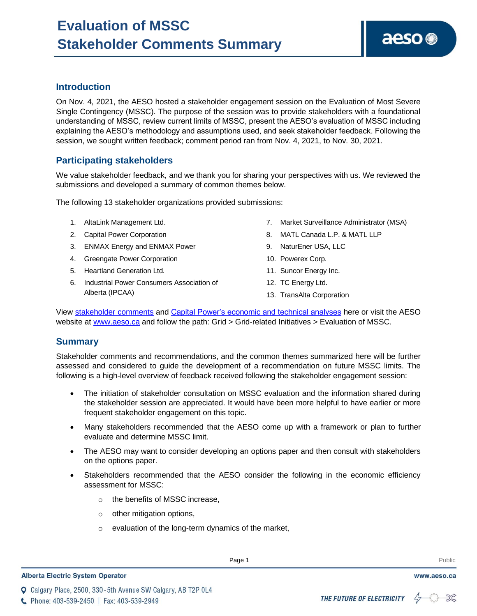## **Introduction**

On Nov. 4, 2021, the AESO hosted a stakeholder engagement session on the Evaluation of Most Severe Single Contingency (MSSC). The purpose of the session was to provide stakeholders with a foundational understanding of MSSC, review current limits of MSSC, present the AESO's evaluation of MSSC including explaining the AESO's methodology and assumptions used, and seek stakeholder feedback. Following the session, we sought written feedback; comment period ran from Nov. 4, 2021, to Nov. 30, 2021.

## **Participating stakeholders**

We value stakeholder feedback, and we thank you for sharing your perspectives with us. We reviewed the submissions and developed a summary of common themes below.

The following 13 stakeholder organizations provided submissions:

- 1. AltaLink Management Ltd.
- 2. Capital Power Corporation
- 3. ENMAX Energy and ENMAX Power
- 4. Greengate Power Corporation
- 5. Heartland Generation Ltd.
- 6. Industrial Power Consumers Association of Alberta (IPCAA)

7. Market Surveillance Administrator (MSA)

aeso<sup>®</sup>

- 8. MATL Canada L.P. & MATL LLP
- 9. NaturEner USA, LLC
- 10. Powerex Corp.
- 11. Suncor Energy Inc.
- 12. TC Energy Ltd.
- 13. TransAlta Corporation

View [stakeholder comments](https://www.aeso.ca/assets/Uploads/grid-related-initiatives/MSSC/Evaluation-of-MSSC-Stakeholder-Comments.pdf) and [Capital Power's economic and technical analyses](https://www.aeso.ca/assets/Uploads/grid-related-initiatives/MSSC/Capital-Power-Additional-Analysis-and-Materials-Evaluation-of-the-MSSC.pdf) here or visit the AESO website at [www.aeso.ca](http://www.aeso.ca/) and follow the path: Grid > Grid-related Initiatives > Evaluation of MSSC.

## **Summary**

Stakeholder comments and recommendations, and the common themes summarized here will be further assessed and considered to guide the development of a recommendation on future MSSC limits. The following is a high-level overview of feedback received following the stakeholder engagement session:

- The initiation of stakeholder consultation on MSSC evaluation and the information shared during the stakeholder session are appreciated. It would have been more helpful to have earlier or more frequent stakeholder engagement on this topic.
- Many stakeholders recommended that the AESO come up with a framework or plan to further evaluate and determine MSSC limit.
- The AESO may want to consider developing an options paper and then consult with stakeholders on the options paper.
- Stakeholders recommended that the AESO consider the following in the economic efficiency assessment for MSSC:
	- o the benefits of MSSC increase,
	- $\circ$  other mitigation options,
	- o evaluation of the long-term dynamics of the market,

Enter Football and the Public state of the Public state  $\mathsf{P}$  and  $\mathsf{P}$  and  $\mathsf{P}$  and  $\mathsf{P}$  and  $\mathsf{P}$  and  $\mathsf{P}$  and  $\mathsf{P}$  and  $\mathsf{P}$  and  $\mathsf{P}$  and  $\mathsf{P}$  and  $\mathsf{P}$  and  $\mathsf{P}$  and  $\mathsf{P}$  a



WWW.aeso.ca